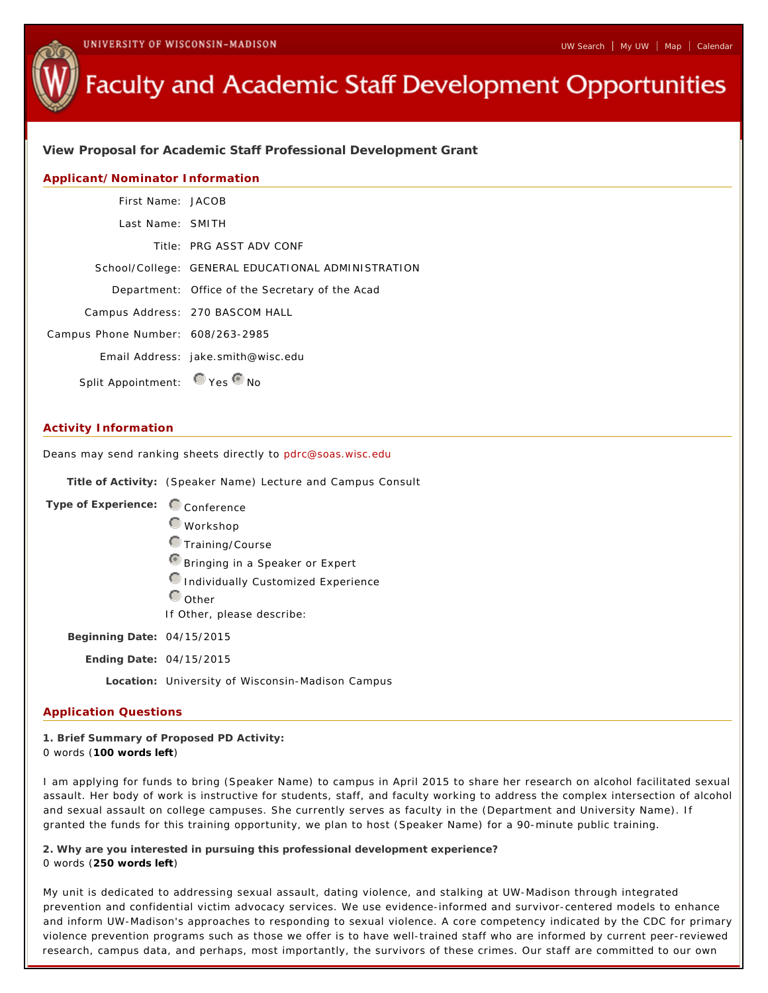# **Faculty and Academic Staff Development Opportunities**

**View Proposal for Academic Staff Professional Development Grant**

### **Applicant/Nominator Information**

| First Name: JACOB                 |                                                    |
|-----------------------------------|----------------------------------------------------|
| Last Name: SMITH                  |                                                    |
|                                   | Title: PRG ASST ADV CONF                           |
|                                   | School/College: GENERAL EDUCATIONAL ADMINISTRATION |
|                                   | Department: Office of the Secretary of the Acad    |
|                                   | Campus Address: 270 BASCOM HALL                    |
| Campus Phone Number: 608/263-2985 |                                                    |
|                                   | Email Address: jake.smith@wisc.edu                 |
| Split Appointment: Ves ONo        |                                                    |

#### **Activity Information**

Deans may send ranking sheets directly to pdrc@soas.wisc.edu

**Title of Activity:** (Speaker Name) Lecture and Campus Consult

| Type of Experience:        | Conference                                       |
|----------------------------|--------------------------------------------------|
|                            | $\bigcirc$ Workshop                              |
|                            | <b>O</b> Training/Course                         |
|                            | Bringing in a Speaker or Expert                  |
|                            | Individually Customized Experience               |
|                            | $\mathbb{C}_{\text{Other}}$                      |
|                            | If Other, please describe:                       |
| Beginning Date: 04/15/2015 |                                                  |
| Ending Date: 04/15/2015    |                                                  |
|                            | Location: University of Wisconsin-Madison Campus |

#### **Application Questions**

**1. Brief Summary of Proposed PD Activity:** 0 words (**100 words left**)

I am applying for funds to bring (Speaker Name) to campus in April 2015 to share her research on alcohol facilitated sexual assault. Her body of work is instructive for students, staff, and faculty working to address the complex intersection of alcohol and sexual assault on college campuses. She currently serves as faculty in the (Department and University Name). If granted the funds for this training opportunity, we plan to host (Speaker Name) for a 90-minute public training.

**2. Why are you interested in pursuing this professional development experience?** 0 words (**250 words left**)

My unit is dedicated to addressing sexual assault, dating violence, and stalking at UW-Madison through integrated prevention and confidential victim advocacy services. We use evidence-informed and survivor-centered models to enhance and inform UW-Madison's approaches to responding to sexual violence. A core competency indicated by the CDC for primary violence prevention programs such as those we offer is to have well-trained staff who are informed by current peer-reviewed research, campus data, and perhaps, most importantly, the survivors of these crimes. Our staff are committed to our own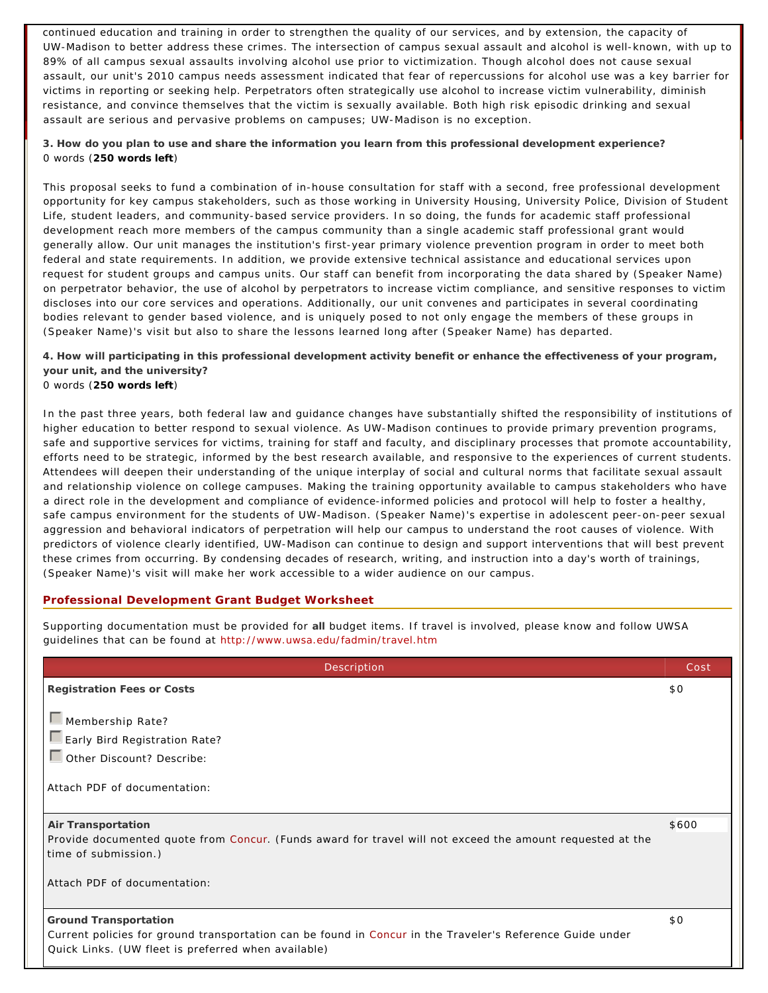continued education and training in order to strengthen the quality of our services, and by extension, the capacity of UW-Madison to better address these crimes. The intersection of campus sexual assault and alcohol is well-known, with up to 89% of all campus sexual assaults involving alcohol use prior to victimization. Though alcohol does not cause sexual assault, our unit's 2010 campus needs assessment indicated that fear of repercussions for alcohol use was a key barrier for victims in reporting or seeking help. Perpetrators often strategically use alcohol to increase victim vulnerability, diminish resistance, and convince themselves that the victim is sexually available. Both high risk episodic drinking and sexual assault are serious and pervasive problems on campuses; UW-Madison is no exception.

**3. How do you plan to use and share the information you learn from this professional development experience?** 0 words (**250 words left**)

This proposal seeks to fund a combination of in-house consultation for staff with a second, free professional development opportunity for key campus stakeholders, such as those working in University Housing, University Police, Division of Student Life, student leaders, and community-based service providers. In so doing, the funds for academic staff professional development reach more members of the campus community than a single academic staff professional grant would generally allow. Our unit manages the institution's first-year primary violence prevention program in order to meet both federal and state requirements. In addition, we provide extensive technical assistance and educational services upon request for student groups and campus units. Our staff can benefit from incorporating the data shared by (Speaker Name) on perpetrator behavior, the use of alcohol by perpetrators to increase victim compliance, and sensitive responses to victim discloses into our core services and operations. Additionally, our unit convenes and participates in several coordinating bodies relevant to gender based violence, and is uniquely posed to not only engage the members of these groups in (Speaker Name)'s visit but also to share the lessons learned long after (Speaker Name) has departed.

**4. How will participating in this professional development activity benefit or enhance the effectiveness of your program, your unit, and the university?** 0 words (**250 words left**)

In the past three years, both federal law and guidance changes have substantially shifted the responsibility of institutions of higher education to better respond to sexual violence. As UW-Madison continues to provide primary prevention programs, safe and supportive services for victims, training for staff and faculty, and disciplinary processes that promote accountability, efforts need to be strategic, informed by the best research available, and responsive to the experiences of current students. Attendees will deepen their understanding of the unique interplay of social and cultural norms that facilitate sexual assault and relationship violence on college campuses. Making the training opportunity available to campus stakeholders who have a direct role in the development and compliance of evidence-informed policies and protocol will help to foster a healthy, safe campus environment for the students of UW-Madison. (Speaker Name)'s expertise in adolescent peer-on-peer sexual aggression and behavioral indicators of perpetration will help our campus to understand the root causes of violence. With predictors of violence clearly identified, UW-Madison can continue to design and support interventions that will best prevent these crimes from occurring. By condensing decades of research, writing, and instruction into a day's worth of trainings, (Speaker Name)'s visit will make her work accessible to a wider audience on our campus.

## **Professional Development Grant Budget Worksheet**

Supporting documentation must be provided for **all** budget items. If travel is involved, please know and follow UWSA guidelines that can be found at http://www.uwsa.edu/fadmin/travel.htm

| Description                                                                                                                                                                               | Cost  |
|-------------------------------------------------------------------------------------------------------------------------------------------------------------------------------------------|-------|
| Registration Fees or Costs                                                                                                                                                                | \$0   |
| $\Box$ Membership Rate?<br>Early Bird Registration Rate?<br>Other Discount? Describe:<br>Attach PDF of documentation:                                                                     |       |
| Air Transportation<br>Provide documented quote from Concur. (Funds award for travel will not exceed the amount requested at the<br>time of submission.)<br>Attach PDF of documentation:   | \$600 |
| Ground Transportation<br>Current policies for ground transportation can be found in Concur in the Traveler's Reference Guide under<br>Quick Links. (UW fleet is preferred when available) | \$0   |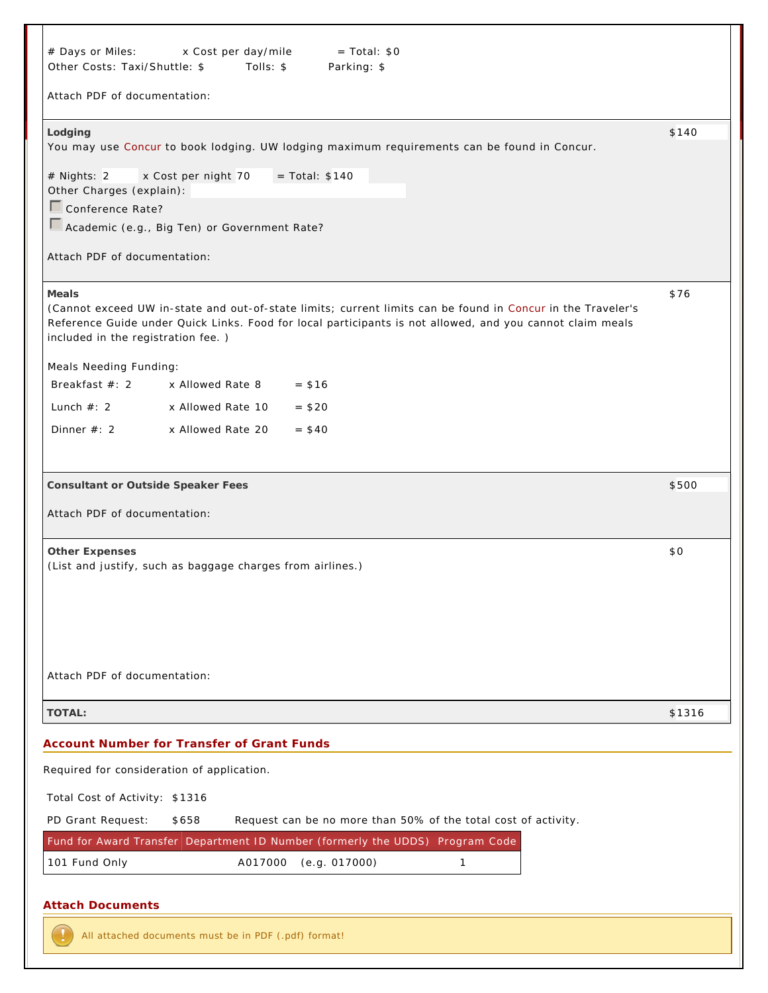| Other Costs: Taxi/Shuttle: \$                               | # Days or Miles: x Cost per day/mile<br>$=$ Total: $$0$<br>Tolls: \$<br>Parking: \$                                                                                                                                      |        |
|-------------------------------------------------------------|--------------------------------------------------------------------------------------------------------------------------------------------------------------------------------------------------------------------------|--------|
| Attach PDF of documentation:                                |                                                                                                                                                                                                                          |        |
| Lodging                                                     | You may use Concur to book lodging. UW lodging maximum requirements can be found in Concur.                                                                                                                              | \$140  |
| # Nights: 2<br>Other Charges (explain):<br>Conference Rate? | x Cost per night 70<br>$=$ Total: \$140                                                                                                                                                                                  |        |
|                                                             | Academic (e.g., Big Ten) or Government Rate?                                                                                                                                                                             |        |
| Attach PDF of documentation:                                |                                                                                                                                                                                                                          |        |
| Meals<br>included in the registration fee.)                 | (Cannot exceed UW in-state and out-of-state limits; current limits can be found in Concur in the Traveler's<br>Reference Guide under Quick Links. Food for local participants is not allowed, and you cannot claim meals | \$76   |
| Meals Needing Funding:                                      |                                                                                                                                                                                                                          |        |
| Breakfast $#: 2$                                            | x Allowed Rate 8<br>$=$ \$16                                                                                                                                                                                             |        |
| Lunch $#: 2$                                                | x Allowed Rate 10<br>$= $20$                                                                                                                                                                                             |        |
| Dinner $#: 2$                                               | x Allowed Rate 20<br>$=$ \$40                                                                                                                                                                                            |        |
| Consultant or Outside Speaker Fees                          |                                                                                                                                                                                                                          | \$500  |
| Attach PDF of documentation:                                |                                                                                                                                                                                                                          |        |
| Other Expenses                                              | (List and justify, such as baggage charges from airlines.)                                                                                                                                                               | \$0    |
| Attach PDF of documentation:                                |                                                                                                                                                                                                                          |        |
| <b>TOTAL:</b>                                               |                                                                                                                                                                                                                          | \$1316 |
|                                                             | Account Number for Transfer of Grant Funds                                                                                                                                                                               |        |
|                                                             | Required for consideration of application.                                                                                                                                                                               |        |
| Total Cost of Activity: \$1316                              |                                                                                                                                                                                                                          |        |
| PD Grant Request:                                           | \$658<br>Request can be no more than 50% of the total cost of activity.                                                                                                                                                  |        |
|                                                             | Fund for Award Transfer Department ID Number (formerly the UDDS) Program Code                                                                                                                                            |        |
| 101 Fund Only                                               | A017000<br>(e.g. 017000)<br>$\mathbf{1}$                                                                                                                                                                                 |        |
| <b>Attach Documents</b>                                     |                                                                                                                                                                                                                          |        |
|                                                             | All attached documents must be in PDF (.pdf) format!                                                                                                                                                                     |        |